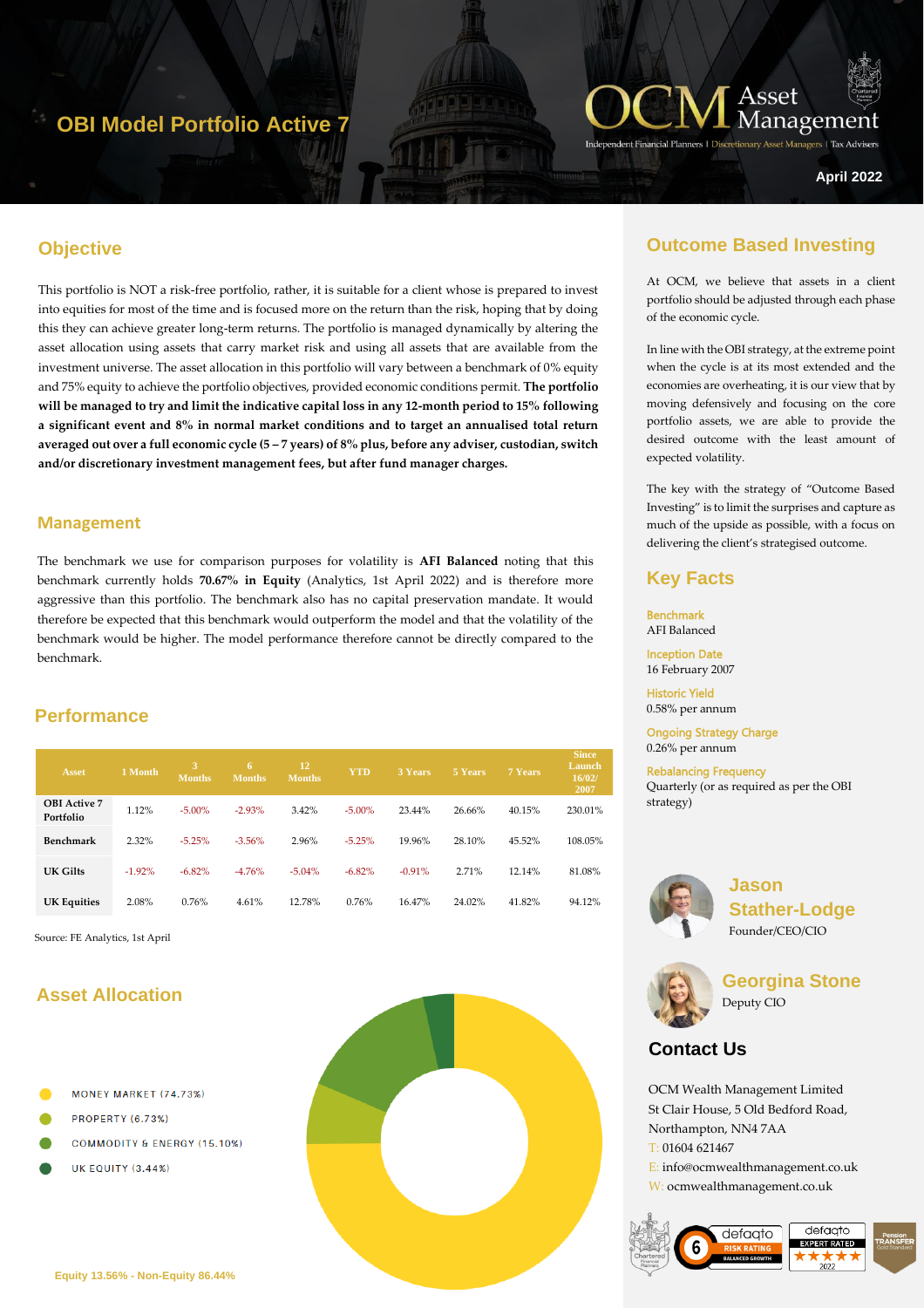# **OBI Model Portfolio Active 7**



ers | Tax Advise

**April 2022**

### **Objective**

This portfolio is NOT a risk-free portfolio, rather, it is suitable for a client whose is prepared to invest into equities for most of the time and is focused more on the return than the risk, hoping that by doing this they can achieve greater long-term returns. The portfolio is managed dynamically by altering the asset allocation using assets that carry market risk and using all assets that are available from the investment universe. The asset allocation in this portfolio will vary between a benchmark of 0% equity and 75% equity to achieve the portfolio objectives, provided economic conditions permit. **The portfolio will be managed to try and limit the indicative capital loss in any 12-month period to 15% following a significant event and 8% in normal market conditions and to target an annualised total return averaged out over a full economic cycle (5 – 7 years) of 8% plus, before any adviser, custodian, switch and/or discretionary investment management fees, but after fund manager charges.**

#### **Management**

The benchmark we use for comparison purposes for volatility is **AFI Balanced** noting that this benchmark currently holds **70.67% in Equity** (Analytics, 1st April 2022) and is therefore more aggressive than this portfolio. The benchmark also has no capital preservation mandate. It would therefore be expected that this benchmark would outperform the model and that the volatility of the benchmark would be higher. The model performance therefore cannot be directly compared to the benchmark.

### **Performance**

| <b>Asset</b>                     | 1 Month  | 3<br><b>Months</b> | -6<br><b>Months</b> | <b>12</b><br>Months. | <b>YTD</b> | <b>3 Years</b> | 5 Years | 7 Years | <b>Since</b><br>Launch<br>16/02/<br>2007 |
|----------------------------------|----------|--------------------|---------------------|----------------------|------------|----------------|---------|---------|------------------------------------------|
| <b>OBI</b> Active 7<br>Portfolio | 1.12%    | $-5.00\%$          | $-2.93%$            | 3.42%                | $-5.00\%$  | 23.44%         | 26.66%  | 40.15%  | 230.01%                                  |
| <b>Benchmark</b>                 | 2.32%    | $-5.25%$           | $-3.56%$            | 2.96%                | $-5.25%$   | 19.96%         | 28.10%  | 45.52%  | 108.05%                                  |
| UK Gilts                         | $-1.92%$ | $-6.82%$           | $-4.76%$            | $-5.04%$             | $-6.82%$   | $-0.91%$       | 2.71%   | 12.14%  | 81.08%                                   |
| <b>UK Equities</b>               | 2.08%    | 0.76%              | 4.61%               | 12.78%               | 0.76%      | 16.47%         | 24.02%  | 41.82%  | 94.12%                                   |

Source: FE Analytics, 1st April

## **Asset Allocation**

- MONEY MARKET (74.73%)
- PROPERTY (6.73%)
- **COMMODITY & ENERGY (15.10%)**
- **UK EQUITY (3.44%)**



### **Outcome Based Investing**

At OCM, we believe that assets in a client portfolio should be adjusted through each phase of the economic cycle.

In line with the OBI strategy, at the extreme point when the cycle is at its most extended and the economies are overheating, it is our view that by moving defensively and focusing on the core portfolio assets, we are able to provide the desired outcome with the least amount of expected volatility.

The key with the strategy of "Outcome Based Investing" is to limit the surprises and capture as much of the upside as possible, with a focus on delivering the client's strategised outcome.

### **Key Facts**

Benchmark AFI Balanced Inception Date

16 February 2007

Historic Yield 0.58% per annum

Ongoing Strategy Charge 0.26% per annum

Rebalancing Frequency Quarterly (or as required as per the OBI strategy)



**Jason Stather-Lodge** Founder/CEO/CIO



**Georgina Stone** Deputy CIO

## **Contact Us**

OCM Wealth Management Limited St Clair House, 5 Old Bedford Road, Northampton, NN4 7AA T: 01604 621467 E: info@ocmwealthmanagement.co.uk W: ocmwealthmanagement.co.uk